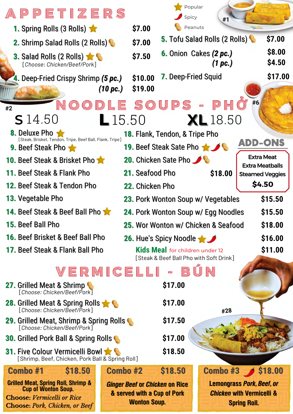| <b>APPETIZERS</b>                                                                                                                                          |                       |                     | Popular<br>Spicy                                                     | #1                                             |                                                                                                 |  |
|------------------------------------------------------------------------------------------------------------------------------------------------------------|-----------------------|---------------------|----------------------------------------------------------------------|------------------------------------------------|-------------------------------------------------------------------------------------------------|--|
| <b>1. Spring Rolls (3 Rolls)</b>                                                                                                                           |                       | \$7.00              | Peanuts                                                              |                                                |                                                                                                 |  |
| 2. Shrimp Salad Rolls (2 Rolls)                                                                                                                            |                       | \$7.00              |                                                                      | 5. Tofu Salad Rolls (2 Rolls)                  | \$7.00                                                                                          |  |
| 3. Salad Rolls (2 Rolls)<br>[Choose: Chicken/Beef/Pork]                                                                                                    |                       | \$7.50              |                                                                      | <b>6.</b> Onion Cakes (2 pc.)<br>(1~pc.)       | \$8.00<br>\$4.50                                                                                |  |
| 4. Deep-Fried Crispy Shrimp (5 pc.)                                                                                                                        |                       | \$10.00             | <b>7.</b> Deep-Fried Squid                                           |                                                | \$17.00                                                                                         |  |
|                                                                                                                                                            | $(10 \,\mathrm{pc.})$ | \$19.00             |                                                                      |                                                |                                                                                                 |  |
| $\overline{O}$<br>#2                                                                                                                                       |                       |                     |                                                                      | ODLE SOUPS - PHO                               | #6                                                                                              |  |
| <b>S</b> 14.50                                                                                                                                             | $\blacksquare$ 15.50  |                     |                                                                      | <b>XL</b> 18.50                                |                                                                                                 |  |
| 8. Deluxe Pho                                                                                                                                              |                       |                     | <b>18. Flank, Tendon, &amp; Tripe Pho</b>                            |                                                |                                                                                                 |  |
| [Steak, Brisket, Tendon, Tripe, Beef Ball, Flank, Tripe]<br><b>9. Beef Steak Pho</b>                                                                       |                       |                     | 19. Beef Steak Sate Pho                                              |                                                | ADD-ONS                                                                                         |  |
| <b>10. Beef Steak &amp; Brisket Phone</b>                                                                                                                  |                       |                     | 20. Chicken Sate Pho                                                 |                                                | <b>Extra Meat</b>                                                                               |  |
| <b>11. Beef Steak &amp; Flank Pho</b>                                                                                                                      |                       | 21. Seafood Pho     |                                                                      | \$18.00                                        | <b>Extra Meatballs</b><br><b>Steamed Veggies</b>                                                |  |
| <b>12. Beef Steak &amp; Tendon Pho</b>                                                                                                                     |                       | 22. Chicken Pho     |                                                                      |                                                | \$4.50                                                                                          |  |
| <b>13. Vegetable Pho</b>                                                                                                                                   |                       |                     |                                                                      | 23. Pork Wonton Soup w/ Vegetables             | \$15.50                                                                                         |  |
| <b>14. Beef Steak &amp; Beef Ball Pho</b>                                                                                                                  |                       |                     |                                                                      | <b>24.</b> Pork Wonton Soup w/ Egg Noodles     | \$15.50                                                                                         |  |
| 15. Beef Ball Pho                                                                                                                                          |                       |                     |                                                                      | 25. Wor Wonton w/ Chicken & Seafood            | \$18.00                                                                                         |  |
| <b>16. Beef Brisket &amp; Beef Ball Pho</b>                                                                                                                |                       |                     | 26. Hue's Spicy Noodle                                               |                                                | \$16.00                                                                                         |  |
| 17. Beef Steak & Flank Ball Pho                                                                                                                            |                       |                     | <b>Kids Mea</b> for children under 12                                |                                                | \$11.00                                                                                         |  |
|                                                                                                                                                            |                       |                     |                                                                      | [Steak & Beef Ball Pho with Soft Drink]<br>BÚN |                                                                                                 |  |
| VERMICELLI                                                                                                                                                 |                       |                     | $\blacksquare$                                                       |                                                |                                                                                                 |  |
| 27. Grilled Meat & Shrimp<br>[Choose: Chicken/Beef/Pork]                                                                                                   |                       |                     | \$17.00                                                              |                                                |                                                                                                 |  |
| <b>28.</b> Grilled Meat & Spring Rolls<br>[Choose: Chicken/Beef/Pork]                                                                                      |                       |                     | \$17.00                                                              | #28                                            |                                                                                                 |  |
| <b>29.</b> Grilled Meat, Shrimp & Spring Rolls<br>[Choose: Chicken/Beef/Pork]                                                                              |                       |                     | \$17.50                                                              |                                                |                                                                                                 |  |
| \$17.00<br><b>30.</b> Grilled Pork Ball & Spring Rolls                                                                                                     |                       |                     |                                                                      |                                                |                                                                                                 |  |
| <b>31.</b> Five Colour Vermicelli Bowl<br>[Shrimp, Beef, Chicken, Pork Ball & Spring Roll]                                                                 |                       |                     | \$18.50                                                              |                                                |                                                                                                 |  |
| \$18.50<br>Combo #1                                                                                                                                        | Combo #2              |                     | \$18.50                                                              |                                                | Combo #3 \$18.00                                                                                |  |
| <b>Grilled Meat, Spring Roll, Shrimp &amp;</b><br><b>Cup of Wonton Soup.</b><br><b>Choose: Vermicelli or Rice</b><br><b>Choose: Pork, Chicken, or Beef</b> |                       | <b>Wonton Soup.</b> | <b>Ginger Beef or Chicken on Rice</b><br>& served with a Cup of Pork |                                                | <b>Lemongrass Pork, Beef, or</b><br><b>Chicken with Vermicelli &amp;</b><br><b>Spring Roll.</b> |  |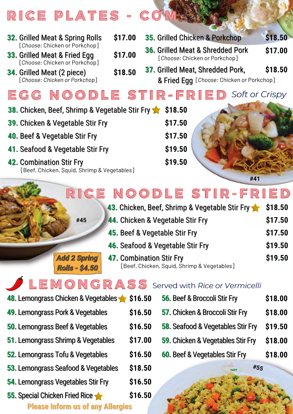|  |  | RICE PLATES - COMPANY |
|--|--|-----------------------|
|--|--|-----------------------|

| \$17.00<br>35. Grilled Chicken & Porkchop<br><b>32.</b> Grilled Meat & Spring Rolls                                                                                                              | \$18.50        |
|--------------------------------------------------------------------------------------------------------------------------------------------------------------------------------------------------|----------------|
| [Choose: Chicken or Porkchop]<br><b>36. Grilled Meat &amp; Shredded Pork</b><br>\$17.00<br><b>33.</b> Grilled Meat & Fried Egg<br>[Choose: Chicken or Porkchop]<br>[Choose: Chicken or Porkchop] | \$17.00        |
| 37. Grilled Meat, Shredded Pork,<br>\$18.50<br><b>34.</b> Grilled Meat (2 piece)<br>[Choose: Chicken or Porkchop]<br>& Fried Egg [Choose: Chicken or Porkchop]                                   | \$18.50        |
| EGG NOODLE STIR-FRIED                                                                                                                                                                            | Soft or Crispy |
| <b>38.</b> Chicken, Beef, Shrimp & Vegetable Stir Fry<br>\$18.50                                                                                                                                 |                |
| \$17.50<br>39. Chicken & Vegetable Stir Fry                                                                                                                                                      |                |
| \$17.50<br>40. Beef & Vegetable Stir Fry                                                                                                                                                         |                |
| \$19.50<br>41. Seafood & Vegetable Stir Fry                                                                                                                                                      |                |
| \$19.50<br><b>42. Combination Stir Fry</b><br>[Beef, Chicken, Squid, Shrimp & Vegetables]                                                                                                        | #41            |

## R I CE NOOD LE STIR-FRIED

| 43. Chicken, Beef, Shrimp & Vegetable Stir Fry | \$18.50 |
|------------------------------------------------|---------|
| 44. Chicken & Vegetable Stir Fry               | \$17.50 |
| 45. Beef & Vegetable Stir Fry                  | \$17.50 |
| 46. Seafood & Vegetable Stir Fry               | \$19.50 |
| <b>47. Combination Stir Fry</b>                |         |
| [Beef, Chicken, Squid, Shrimp & Vegetables]    |         |

## **LEMONGRASS** Served with *Rice or Vermicelli*

| 48. Lemongrass Chicken & Vegetables \$ \$16.50 |         |
|------------------------------------------------|---------|
| <b>49. Lemongrass Pork &amp; Vegetables</b>    | \$16.50 |
| <b>50.</b> Lemongrass Beef & Vegetables        | \$16.50 |
| 51. Lemongrass Shrimp & Vegetables             | \$17.00 |
| 52. Lemongrass Tofu & Vegetables               | \$16.50 |
| 53. Lemongrass Seafood & Vegetables            | \$18.50 |
| 54. Lemongrass Vegetables Stir Fry             | \$16.50 |
| 55. Special Chicken Fried Rice                 | \$16.50 |
| <b>Please Inform us of any Allergies</b>       |         |

**#45**

*Add 2 Spring* 

**Rolls - \$4.50** 

- - **56.** Beef & Broccoli Stir Fry **\$18.00**
- **57.** Chicken & Broccoli Stir Fry **\$18.00**
- **58.** Seafood & Vegetables Stir Fry **\$19.50**
- **59.** Chicken & Vegetables Stir Fry **\$18.00**
	- **60.** Beef & Vegetables Stir Fry **\$18.00**

**USTY** 

**#55**